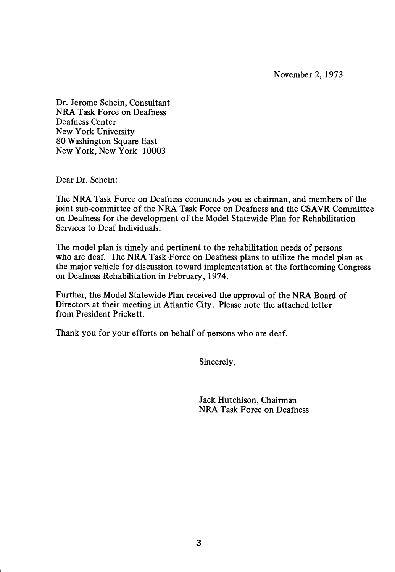November 2, 1973

Dr. Jerome Schein, Consultant NRA Task Force on Deafness Deafness Center New York University 80 Washington Square East New York, New York 10003

Dear Dr. Schein:

The NRA Task Force on Deafness commends you as chairman, and members of the joint sub-committee of the NRA Task Force on Deafness and the CSAVR Committee on Deafness for the development of the Model Statewide Plan for Rehabilitation Services to Deaf Individuals.

The model plan is timely and pertinent to the rehabilitation needs of persons who are deaf. The NRA Task Force on Deafness plans to utilize the model plan as the major vehicle for discussion toward implementation at the forthcoming Congress on Deafness Rehabilitation in February, 1974.

Further, the Model Statewide Plan received the approval of the NRA Board of Directors at their meeting in Atlantic City. Please note the attached letter from President Prickett.

Thank you for your efforts on behalf of persons who are deaf.

Sincerely,

Jack Hutchison, Chairman NRA Task Force on Deafness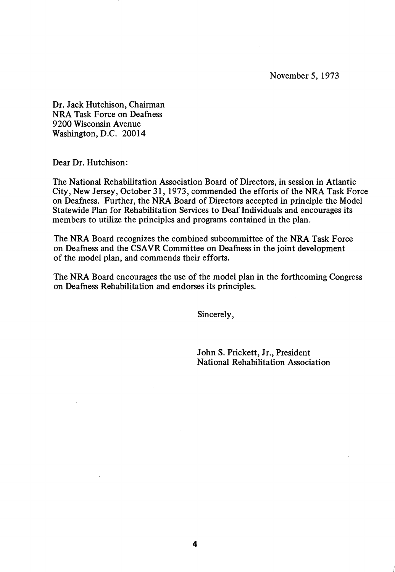November 5, 1973

Dr. Jack Hutchison, Chairman NRA Task Force on Deafness 9200 Wisconsin Avenue Washington, D.C. 20014

Dear Dr. Hutchison:

The National Rehabilitation Association Board of Directors, in session in Atlantic City, New Jersey, October 31, 1973, commended the efforts of the NRA Task Force on Deafness. Further, the NRA Board of Directors accepted in principle the Model Statewide Plan for Rehabilitation Services to Deaf Individuals and encourages its members to utilize the principles and programs contained in the plan.

The NRA Board recognizes the combined subcommittee of the NRA Task Force on Deafness and the CSAVR Committee on Deafness in the joint development of the model plan, and commends their efforts.

The NRA Board encourages the use of the model plan in the forthcoming Congress on Deafness Rehabilitation and endorses its principles.

Sincerely,

John S. Prickett, Jr., President National Rehabilitation Association